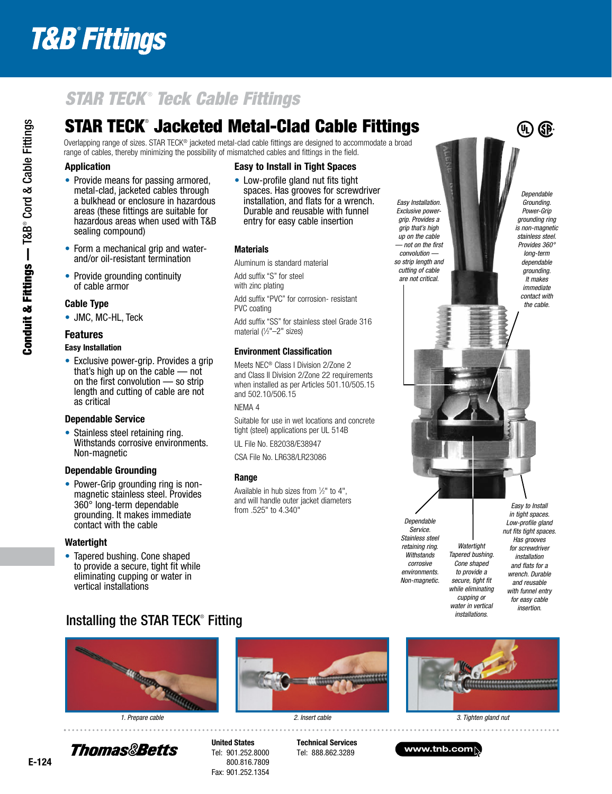## **T&B° Fittings**

## *STAR TECK* ®  *Teck Cable Fittings*

## STAR TECK® Jacketed Metal-Clad Cable Fittings

Overlapping range of sizes. STAR TECK® jacketed metal-clad cable fittings are designed to accommodate a broad range of cables, thereby minimizing the possibility of mismatched cables and fittings in the field.

#### Application

- Provide means for passing armored, metal-clad, jacketed cables through a bulkhead or enclosure in hazardous areas (these fittings are suitable for hazardous areas when used with T&B sealing compound)
- Form a mechanical grip and waterand/or oil-resistant termination
- Provide grounding continuity of cable armor

#### Cable Type

• JMC, MC-HL, Teck

#### Features

#### Easy Installation

• Exclusive power-grip. Provides a grip that's high up on the cable — not on the first convolution — so strip length and cutting of cable are not as critical

#### Dependable Service

• Stainless steel retaining ring. Withstands corrosive environments. Non-magnetic

#### Dependable Grounding

• Power-Grip grounding ring is nonmagnetic stainless steel. Provides 360° long-term dependable grounding. It makes immediate contact with the cable

#### Watertight

• Tapered bushing. Cone shaped to provide a secure, tight fit while eliminating cupping or water in vertical installations

#### Easy to Install in Tight Spaces

• Low-profile gland nut fits tight spaces. Has grooves for screwdriver installation, and flats for a wrench. Durable and reusable with funnel entry for easy cable insertion

#### **Materials**

Aluminum is standard material

Add suffix "S" for steel

with zinc plating Add suffix "PVC" for corrosion- resistant

PVC coating

Add suffix "SS" for stainless steel Grade 316 material (1 ⁄2"–2" sizes)

#### Environment Classification

Meets NEC® Class I Division 2/Zone 2 and Class II Division 2/Zone 22 requirements when installed as per Articles 501.10/505.15 and 502.10/506.15

NEMA 4

Suitable for use in wet locations and concrete tight (steel) applications per UL 514B

UL File No. E82038/E38947

CSA File No. LR638/LR23086

#### Range

Available in hub sizes from 1 ⁄2" to 4", and will handle outer jacket diameters from .525" to 4.340"

*Easy Installation. Exclusive powergrip. Provides a grip that's high up on the cable — not on the first convolution so strip length and cutting of cable are not critical.*

*Dependable Grounding. Power-Grip grounding ring is non-magnetic stainless steel. Provides 360° long-term dependable grounding. It makes immediate contact with the cable.*

 $\circledR$ 

*Dependable Service. Stainless steel retaining ring. Withstands corrosive environments. Non-magnetic.*

*Easy to Install in tight spaces. Low-profile gland nut fits tight spaces. Has grooves for screwdriver installation and flats for a wrench. Durable and reusable with funnel entry for easy cable insertion.*

### Installing the STAR TECK® Fitting







*Watertight Tapered bushing. Cone shaped to provide a secure, tight fit while eliminating cupping or water in vertical installations.*

*1. Prepare cable 2. Insert cable 3. Tighten gland nut*

Thomas&Betts

Tel: 901.252.8000 800.816.7809 Fax: 901.252.1354

Technical Services Tel: 888.862.3289